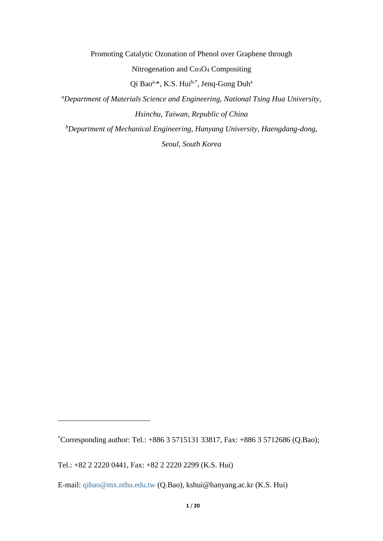Promoting Catalytic Ozonation of Phenol over Graphene through Nitrogenation and Co3O<sup>4</sup> Compositing Qi Bao<sup>a,\*</sup>, K.S. Hui<sup>b,\*</sup>, Jenq-Gong Duh<sup>a</sup> *<sup>a</sup>Department of Materials Science and Engineering, National Tsing Hua University, Hsinchu, Taiwan, Republic of China <sup>b</sup>Department of Mechanical Engineering, Hanyang University, Haengdang-dong,* 

*Seoul, South Korea*

<u>.</u>

<sup>\*</sup>Corresponding author: Tel.:  $+8863571513133817$ , Fax:  $+88635712686$  (Q.Bao);

Tel.: +82 2 2220 0441, Fax: +82 2 2220 2299 (K.S. Hui)

E-mail: [qibao@mx.nthu.edu.tw](mailto:qibao@mx.nthu.edu.tw) (Q.Bao), kshui@hanyang.ac.kr (K.S. Hui)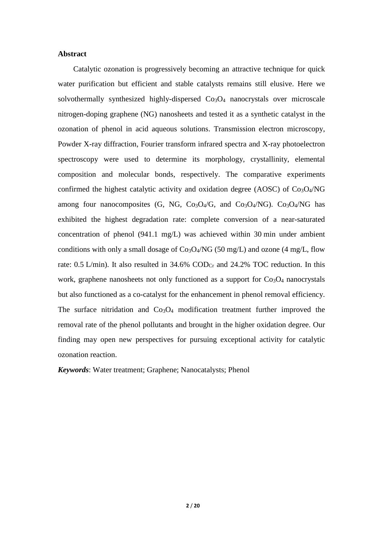#### **Abstract**

Catalytic ozonation is progressively becoming an attractive technique for quick water purification but efficient and stable catalysts remains still elusive. Here we solvothermally synthesized highly-dispersed Co<sub>3</sub>O<sub>4</sub> nanocrystals over microscale nitrogen-doping graphene (NG) nanosheets and tested it as a synthetic catalyst in the ozonation of phenol in acid aqueous solutions. Transmission electron microscopy, Powder X-ray diffraction, Fourier transform infrared spectra and X-ray photoelectron spectroscopy were used to determine its morphology, crystallinity, elemental composition and molecular bonds, respectively. The comparative experiments confirmed the highest catalytic activity and oxidation degree (AOSC) of  $Co<sub>3</sub>O<sub>4</sub>/NG$ among four nanocomposites  $(G, NG, Co<sub>3</sub>O<sub>4</sub>/G, and Co<sub>3</sub>O<sub>4</sub>/NG). Co<sub>3</sub>O<sub>4</sub>/NG has$ exhibited the highest degradation rate: complete conversion of a near-saturated concentration of phenol (941.1 mg/L) was achieved within 30 min under ambient conditions with only a small dosage of  $Co<sub>3</sub>O<sub>4</sub>/NG$  (50 mg/L) and ozone (4 mg/L, flow rate: 0.5 L/min). It also resulted in  $34.6\%$  COD<sub>Cr</sub> and  $24.2\%$  TOC reduction. In this work, graphene nanosheets not only functioned as a support for  $Co<sub>3</sub>O<sub>4</sub>$  nanocrystals but also functioned as a co-catalyst for the enhancement in phenol removal efficiency. The surface nitridation and  $Co<sub>3</sub>O<sub>4</sub>$  modification treatment further improved the removal rate of the phenol pollutants and brought in the higher oxidation degree. Our finding may open new perspectives for pursuing exceptional activity for catalytic ozonation reaction.

*Keywords*: Water treatment; Graphene; Nanocatalysts; Phenol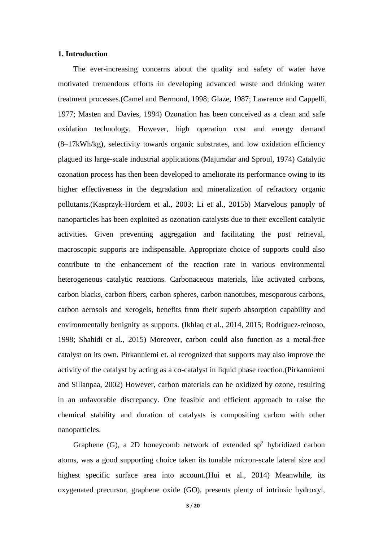#### **1. Introduction**

The ever-increasing concerns about the quality and safety of water have motivated tremendous efforts in developing advanced waste and drinking water treatment processes.[\(Camel and Bermond, 1998;](#page-16-0) [Glaze, 1987;](#page-16-1) [Lawrence and Cappelli,](#page-17-0)  [1977;](#page-17-0) [Masten and Davies, 1994\)](#page-17-1) Ozonation has been conceived as a clean and safe oxidation technology. However, high operation cost and energy demand (8–17kWh/kg), selectivity towards organic substrates, and low oxidation efficiency plagued its large-scale industrial applications.[\(Majumdar and Sproul, 1974\)](#page-17-2) Catalytic ozonation process has then been developed to ameliorate its performance owing to its higher effectiveness in the degradation and mineralization of refractory organic pollutants.[\(Kasprzyk-Hordern et al., 2003;](#page-16-2) [Li et al., 2015b\)](#page-17-3) Marvelous panoply of nanoparticles has been exploited as ozonation catalysts due to their excellent catalytic activities. Given preventing aggregation and facilitating the post retrieval, macroscopic supports are indispensable. Appropriate choice of supports could also contribute to the enhancement of the reaction rate in various environmental heterogeneous catalytic reactions. Carbonaceous materials, like activated carbons, carbon blacks, carbon fibers, carbon spheres, carbon nanotubes, mesoporous carbons, carbon aerosols and xerogels, benefits from their superb absorption capability and environmentally benignity as supports. [\(Ikhlaq et al., 2014,](#page-16-3) [2015;](#page-16-4) [Rodríguez-reinoso,](#page-17-4)  [1998;](#page-17-4) [Shahidi et al., 2015\)](#page-17-5) Moreover, carbon could also function as a metal-free catalyst on its own. Pirkanniemi et. al recognized that supports may also improve the activity of the catalyst by acting as a co-catalyst in liquid phase reaction.[\(Pirkanniemi](#page-17-6)  [and Sillanpaa, 2002\)](#page-17-6) However, carbon materials can be oxidized by ozone, resulting in an unfavorable discrepancy. One feasible and efficient approach to raise the chemical stability and duration of catalysts is compositing carbon with other nanoparticles.

Graphene (G), a 2D honeycomb network of extended  $sp<sup>2</sup>$  hybridized carbon atoms, was a good supporting choice taken its tunable micron-scale lateral size and highest specific surface area into account.[\(Hui et al., 2014\)](#page-16-5) Meanwhile, its oxygenated precursor, graphene oxide (GO), presents plenty of intrinsic hydroxyl,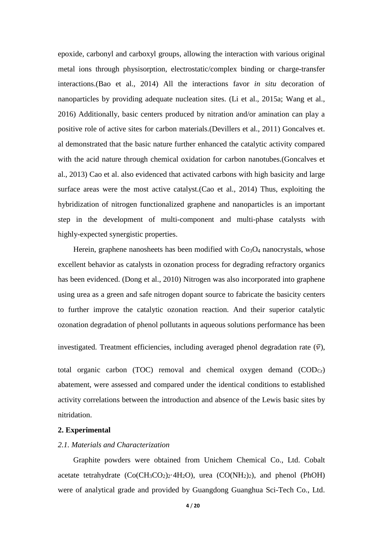epoxide, carbonyl and carboxyl groups, allowing the interaction with various original metal ions through physisorption, electrostatic/complex binding or charge-transfer interactions.[\(Bao et al., 2014\)](#page-15-0) All the interactions favor *in situ* decoration of nanoparticles by providing adequate nucleation sites. [\(Li et al., 2015a;](#page-17-7) [Wang et al.,](#page-17-8)  [2016\)](#page-17-8) Additionally, basic centers produced by nitration and/or amination can play a positive role of active sites for carbon materials.[\(Devillers et al., 2011\)](#page-16-6) Goncalves et. al demonstrated that the basic nature further enhanced the catalytic activity compared with the acid nature through chemical oxidation for carbon nanotubes.[\(Goncalves et](#page-16-7)  [al., 2013\)](#page-16-7) Cao et al. also evidenced that activated carbons with high basicity and large surface areas were the most active catalyst.[\(Cao et al., 2014\)](#page-16-8) Thus, exploiting the hybridization of nitrogen functionalized graphene and nanoparticles is an important step in the development of multi-component and multi-phase catalysts with highly-expected synergistic properties.

Herein, graphene nanosheets has been modified with Co<sub>3</sub>O<sub>4</sub> nanocrystals, whose excellent behavior as catalysts in ozonation process for degrading refractory organics has been evidenced. [\(Dong et al., 2010\)](#page-16-9) Nitrogen was also incorporated into graphene using urea as a green and safe nitrogen dopant source to fabricate the basicity centers to further improve the catalytic ozonation reaction. And their superior catalytic ozonation degradation of phenol pollutants in aqueous solutions performance has been

investigated. Treatment efficiencies, including averaged phenol degradation rate  $(\bar{v})$ ,

total organic carbon (TOC) removal and chemical oxygen demand  $(COD<sub>Cr</sub>)$ abatement, were assessed and compared under the identical conditions to established activity correlations between the introduction and absence of the Lewis basic sites by nitridation.

### **2. Experimental**

#### *2.1. Materials and Characterization*

Graphite powders were obtained from Unichem Chemical Co., Ltd. Cobalt acetate tetrahydrate  $(Co(CH_3CO_2)_2.4H_2O)$ , urea  $(CO(NH_2)_2)$ , and phenol (PhOH) were of analytical grade and provided by Guangdong Guanghua Sci-Tech Co., Ltd.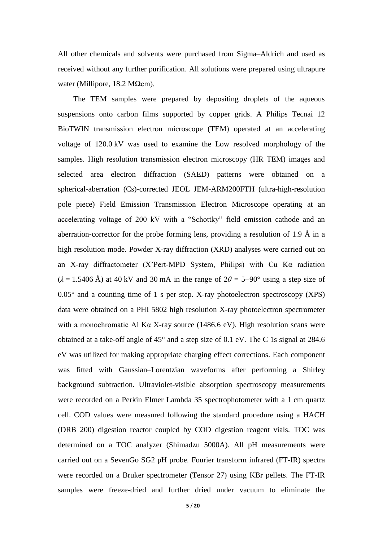All other chemicals and solvents were purchased from Sigma–Aldrich and used as received without any further purification. All solutions were prepared using ultrapure water (Millipore, 18.2 MΩcm).

The TEM samples were prepared by depositing droplets of the aqueous suspensions onto carbon films supported by copper grids. A Philips Tecnai 12 BioTWIN transmission electron microscope (TEM) operated at an accelerating voltage of 120.0 kV was used to examine the Low resolved morphology of the samples. High resolution transmission electron microscopy (HR TEM) images and selected area electron diffraction (SAED) patterns were obtained on a spherical-aberration (Cs)-corrected JEOL JEM-ARM200FTH (ultra-high-resolution pole piece) Field Emission Transmission Electron Microscope operating at an accelerating voltage of 200 kV with a "Schottky" field emission cathode and an aberration-corrector for the probe forming lens, providing a resolution of 1.9 Å in a high resolution mode. Powder X-ray diffraction (XRD) analyses were carried out on an X-ray diffractometer (X'Pert-MPD System, Philips) with Cu Kα radiation  $(\lambda = 1.5406 \text{ Å})$  at 40 kV and 30 mA in the range of  $2\theta = 5-90^{\circ}$  using a step size of  $0.05^{\circ}$  and a counting time of 1 s per step. X-ray photoelectron spectroscopy (XPS) data were obtained on a PHI 5802 high resolution X-ray photoelectron spectrometer with a monochromatic Al Kα X-ray source (1486.6 eV). High resolution scans were obtained at a take-off angle of 45° and a step size of 0.1 eV. The C 1s signal at 284.6 eV was utilized for making appropriate charging effect corrections. Each component was fitted with Gaussian–Lorentzian waveforms after performing a Shirley background subtraction. Ultraviolet-visible absorption spectroscopy measurements were recorded on a Perkin Elmer Lambda 35 spectrophotometer with a 1 cm quartz cell. COD values were measured following the standard procedure using a HACH (DRB 200) digestion reactor coupled by COD digestion reagent vials. TOC was determined on a TOC analyzer (Shimadzu 5000A). All pH measurements were carried out on a SevenGo SG2 pH probe. Fourier transform infrared (FT-IR) spectra were recorded on a Bruker spectrometer (Tensor 27) using KBr pellets. The FT-IR samples were freeze-dried and further dried under vacuum to eliminate the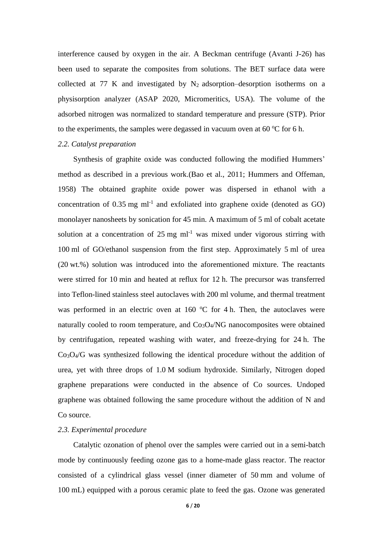interference caused by oxygen in the air. A Beckman centrifuge (Avanti J-26) has been used to separate the composites from solutions. The BET surface data were collected at 77 K and investigated by  $N_2$  adsorption–desorption isotherms on a physisorption analyzer (ASAP 2020, Micromeritics, USA). The volume of the adsorbed nitrogen was normalized to standard temperature and pressure (STP). Prior to the experiments, the samples were degassed in vacuum oven at  $60^{\circ}$ C for 6 h.

# *2.2. Catalyst preparation*

Synthesis of graphite oxide was conducted following the modified Hummers' method as described in a previous work.[\(Bao et al., 2011;](#page-15-1) [Hummers and Offeman,](#page-16-10)  [1958\)](#page-16-10) The obtained graphite oxide power was dispersed in ethanol with a concentration of  $0.35$  mg ml<sup>-1</sup> and exfoliated into graphene oxide (denoted as GO) monolayer nanosheets by sonication for 45 min. A maximum of 5 ml of cobalt acetate solution at a concentration of  $25 \text{ mg ml}^{-1}$  was mixed under vigorous stirring with 100 ml of GO/ethanol suspension from the first step. Approximately 5 ml of urea (20 wt.%) solution was introduced into the aforementioned mixture. The reactants were stirred for 10 min and heated at reflux for 12 h. The precursor was transferred into Teflon-lined stainless steel autoclaves with 200 ml volume, and thermal treatment was performed in an electric oven at 160  $\degree$ C for 4 h. Then, the autoclaves were naturally cooled to room temperature, and  $Co<sub>3</sub>O<sub>4</sub>/NG$  nanocomposites were obtained by centrifugation, repeated washing with water, and freeze-drying for 24 h. The Co3O4/G was synthesized following the identical procedure without the addition of urea, yet with three drops of 1.0 M sodium hydroxide. Similarly, Nitrogen doped graphene preparations were conducted in the absence of Co sources. Undoped graphene was obtained following the same procedure without the addition of N and Co source.

## *2.3. Experimental procedure*

Catalytic ozonation of phenol over the samples were carried out in a semi-batch mode by continuously feeding ozone gas to a home-made glass reactor. The reactor consisted of a cylindrical glass vessel (inner diameter of 50 mm and volume of 100 mL) equipped with a porous ceramic plate to feed the gas. Ozone was generated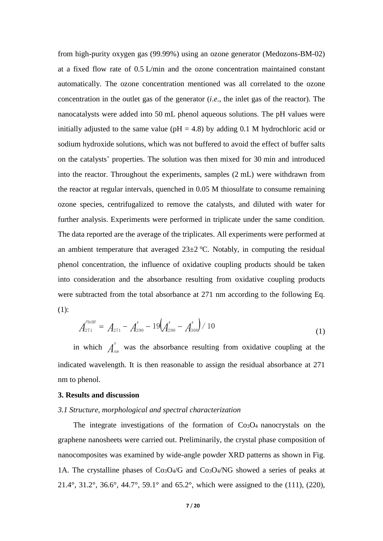from high-purity oxygen gas (99.99%) using an ozone generator (Medozons-BM-02) at a fixed flow rate of 0.5 L/min and the ozone concentration maintained constant automatically. The ozone concentration mentioned was all correlated to the ozone concentration in the outlet gas of the generator (*i*.*e*., the inlet gas of the reactor). The nanocatalysts were added into 50 mL phenol aqueous solutions. The pH values were initially adjusted to the same value ( $pH = 4.8$ ) by adding 0.1 M hydrochloric acid or sodium hydroxide solutions, which was not buffered to avoid the effect of buffer salts on the catalysts' properties. The solution was then mixed for 30 min and introduced into the reactor. Throughout the experiments, samples (2 mL) were withdrawn from the reactor at regular intervals, quenched in 0.05 M thiosulfate to consume remaining ozone species, centrifugalized to remove the catalysts, and diluted with water for further analysis. Experiments were performed in triplicate under the same condition. The data reported are the average of the triplicates. All experiments were performed at an ambient temperature that averaged  $23\pm2$  °C. Notably, in computing the residual phenol concentration, the influence of oxidative coupling products should be taken into consideration and the absorbance resulting from oxidative coupling products were subtracted from the total absorbance at 271 nm according to the following Eq. (1):

$$
A_{271}^{\mu_{b0H}} = A_{271} - A_{290}^{x} - 19 \left( A_{290}^{x} - A_{300}^{x} \right) / 10
$$
\n(1)

in which  $A_n^x$  $\sum_{n=1}^{\infty}$  was the absorbance resulting from oxidative coupling at the indicated wavelength. It is then reasonable to assign the residual absorbance at 271 nm to phenol.

#### **3. Results and discussion**

#### *3.1 Structure, morphological and spectral characterization*

The integrate investigations of the formation of  $Co<sub>3</sub>O<sub>4</sub>$  nanocrystals on the graphene nanosheets were carried out. Preliminarily, the crystal phase composition of nanocomposites was examined by wide-angle powder XRD patterns as shown in Fig. 1A. The crystalline phases of  $Co<sub>3</sub>O<sub>4</sub>/G$  and  $Co<sub>3</sub>O<sub>4</sub>/NG$  showed a series of peaks at 21.4°, 31.2°, 36.6°, 44.7°, 59.1° and 65.2°, which were assigned to the (111), (220),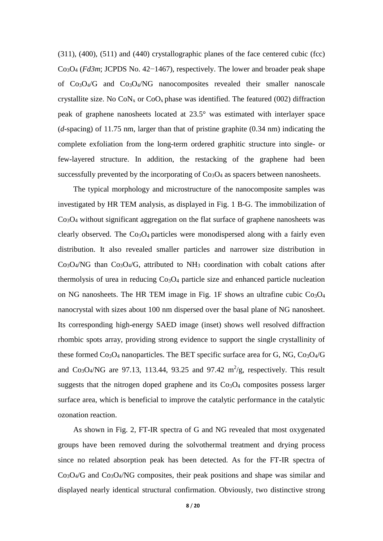(311), (400), (511) and (440) crystallographic planes of the face centered cubic (fcc) Co3O<sup>4</sup> (*Fd3m*; JCPDS No. 42−1467), respectively. The lower and broader peak shape of  $Co<sub>3</sub>O<sub>4</sub>/G$  and  $Co<sub>3</sub>O<sub>4</sub>/NG$  nanocomposites revealed their smaller nanoscale crystallite size. No  $CoN_x$  or  $CoO_x$  phase was identified. The featured (002) diffraction peak of graphene nanosheets located at 23.5° was estimated with interlayer space (*d*-spacing) of 11.75 nm, larger than that of pristine graphite (0.34 nm) indicating the complete exfoliation from the long-term ordered graphitic structure into single- or few-layered structure. In addition, the restacking of the graphene had been successfully prevented by the incorporating of  $Co<sub>3</sub>O<sub>4</sub>$  as spacers between nanosheets.

The typical morphology and microstructure of the nanocomposite samples was investigated by HR TEM analysis, as displayed in Fig. 1 B-G. The immobilization of Co3O<sup>4</sup> without significant aggregation on the flat surface of graphene nanosheets was clearly observed. The  $Co<sub>3</sub>O<sub>4</sub>$  particles were monodispersed along with a fairly even distribution. It also revealed smaller particles and narrower size distribution in  $Co<sub>3</sub>O<sub>4</sub>/NG$  than  $Co<sub>3</sub>O<sub>4</sub>/G$ , attributed to NH<sub>3</sub> coordination with cobalt cations after thermolysis of urea in reducing  $Co<sub>3</sub>O<sub>4</sub>$  particle size and enhanced particle nucleation on NG nanosheets. The HR TEM image in Fig. 1F shows an ultrafine cubic  $Co<sub>3</sub>O<sub>4</sub>$ nanocrystal with sizes about 100 nm dispersed over the basal plane of NG nanosheet. Its corresponding high-energy SAED image (inset) shows well resolved diffraction rhombic spots array, providing strong evidence to support the single crystallinity of these formed  $Co<sub>3</sub>O<sub>4</sub>$  nanoparticles. The BET specific surface area for G, NG,  $Co<sub>3</sub>O<sub>4</sub>/G$ and  $Co<sub>3</sub>O<sub>4</sub>/NG$  are 97.13, 113.44, 93.25 and 97.42 m<sup>2</sup>/g, respectively. This result suggests that the nitrogen doped graphene and its  $Co<sub>3</sub>O<sub>4</sub>$  composites possess larger surface area, which is beneficial to improve the catalytic performance in the catalytic ozonation reaction.

As shown in Fig. 2, FT-IR spectra of G and NG revealed that most oxygenated groups have been removed during the solvothermal treatment and drying process since no related absorption peak has been detected. As for the FT-IR spectra of  $Co<sub>3</sub>O<sub>4</sub>/G$  and  $Co<sub>3</sub>O<sub>4</sub>/NG$  composites, their peak positions and shape was similar and displayed nearly identical structural confirmation. Obviously, two distinctive strong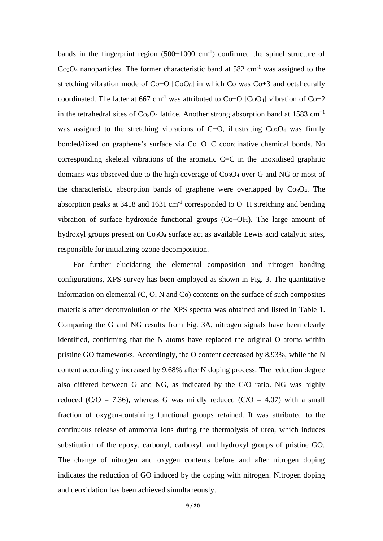bands in the fingerprint region (500−1000 cm-1 ) confirmed the spinel structure of  $Co<sub>3</sub>O<sub>4</sub>$  nanoparticles. The former characteristic band at 582 cm<sup>-1</sup> was assigned to the stretching vibration mode of Co−O [CoO<sub>6</sub>] in which Co was Co+3 and octahedrally coordinated. The latter at 667 cm<sup>-1</sup> was attributed to Co−O [CoO<sub>4</sub>] vibration of Co+2 in the tetrahedral sites of  $Co<sub>3</sub>O<sub>4</sub>$  lattice. Another strong absorption band at 1583 cm<sup>-1</sup> was assigned to the stretching vibrations of C−O, illustrating Co<sub>3</sub>O<sub>4</sub> was firmly bonded/fixed on graphene's surface via Co−O−C coordinative chemical bonds. No corresponding skeletal vibrations of the aromatic C=C in the unoxidised graphitic domains was observed due to the high coverage of  $Co<sub>3</sub>O<sub>4</sub>$  over G and NG or most of the characteristic absorption bands of graphene were overlapped by  $Co<sub>3</sub>O<sub>4</sub>$ . The absorption peaks at 3418 and 1631 cm<sup>-1</sup> corresponded to O−H stretching and bending vibration of surface hydroxide functional groups (Co−OH). The large amount of hydroxyl groups present on Co<sub>3</sub>O<sub>4</sub> surface act as available Lewis acid catalytic sites, responsible for initializing ozone decomposition.

For further elucidating the elemental composition and nitrogen bonding configurations, XPS survey has been employed as shown in Fig. 3. The quantitative information on elemental (C, O, N and Co) contents on the surface of such composites materials after deconvolution of the XPS spectra was obtained and listed in Table 1. Comparing the G and NG results from Fig. 3A, nitrogen signals have been clearly identified, confirming that the N atoms have replaced the original O atoms within pristine GO frameworks. Accordingly, the O content decreased by 8.93%, while the N content accordingly increased by 9.68% after N doping process. The reduction degree also differed between G and NG, as indicated by the C/O ratio. NG was highly reduced (C/O = 7.36), whereas G was mildly reduced (C/O = 4.07) with a small fraction of oxygen-containing functional groups retained. It was attributed to the continuous release of ammonia ions during the thermolysis of urea, which induces substitution of the epoxy, carbonyl, carboxyl, and hydroxyl groups of pristine GO. The change of nitrogen and oxygen contents before and after nitrogen doping indicates the reduction of GO induced by the doping with nitrogen. Nitrogen doping and deoxidation has been achieved simultaneously.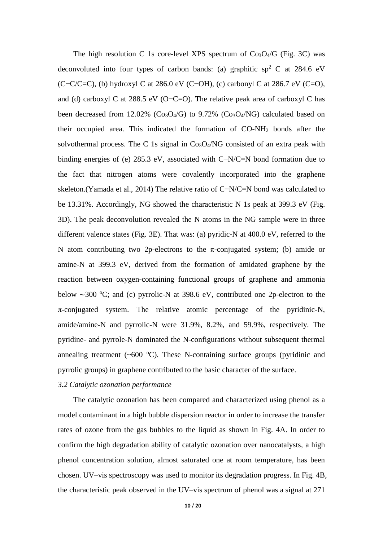The high resolution C 1s core-level XPS spectrum of  $Co<sub>3</sub>O<sub>4</sub>/G$  (Fig. 3C) was deconvoluted into four types of carbon bands: (a) graphitic  $sp<sup>2</sup>$  C at 284.6 eV (C−C/C=C), (b) hydroxyl C at 286.0 eV (C−OH), (c) carbonyl C at 286.7 eV (C=O), and (d) carboxyl C at 288.5 eV (O−C=O). The relative peak area of carboxyl C has been decreased from 12.02% ( $Co<sub>3</sub>O<sub>4</sub>/G$ ) to 9.72% ( $Co<sub>3</sub>O<sub>4</sub>/NG$ ) calculated based on their occupied area. This indicated the formation of CO-NH<sup>2</sup> bonds after the solvothermal process. The C 1s signal in  $Co<sub>3</sub>O<sub>4</sub>/NG$  consisted of an extra peak with binding energies of (e) 285.3 eV, associated with C−N/C=N bond formation due to the fact that nitrogen atoms were covalently incorporated into the graphene skeleton.[\(Yamada et al., 2014\)](#page-17-9) The relative ratio of C−N/C=N bond was calculated to be 13.31%. Accordingly, NG showed the characteristic N 1s peak at 399.3 eV (Fig. 3D). The peak deconvolution revealed the N atoms in the NG sample were in three different valence states (Fig. 3E). That was: (a) pyridic-N at 400.0 eV, referred to the N atom contributing two 2p-electrons to the π-conjugated system; (b) amide or amine-N at 399.3 eV, derived from the formation of amidated graphene by the reaction between oxygen-containing functional groups of graphene and ammonia below ∼300 °C; and (c) pyrrolic-N at 398.6 eV, contributed one 2p-electron to the π-conjugated system. The relative atomic percentage of the pyridinic-N, amide/amine-N and pyrrolic-N were 31.9%, 8.2%, and 59.9%, respectively. The pyridine- and pyrrole-N dominated the N-configurations without subsequent thermal annealing treatment  $({\sim}600 \text{ °C})$ . These N-containing surface groups (pyridinic and pyrrolic groups) in graphene contributed to the basic character of the surface.

# *3.2 Catalytic ozonation performance*

The catalytic ozonation has been compared and characterized using phenol as a model contaminant in a high bubble dispersion reactor in order to increase the transfer rates of ozone from the gas bubbles to the liquid as shown in Fig. 4A. In order to confirm the high degradation ability of catalytic ozonation over nanocatalysts, a high phenol concentration solution, almost saturated one at room temperature, has been chosen. UV–vis spectroscopy was used to monitor its degradation progress. In Fig. 4B, the characteristic peak observed in the UV–vis spectrum of phenol was a signal at 271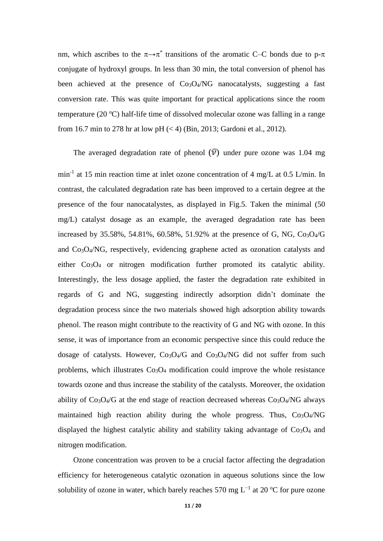nm, which ascribes to the  $\pi \rightarrow \pi^*$  transitions of the aromatic C–C bonds due to p- $\pi$ conjugate of hydroxyl groups. In less than 30 min, the total conversion of phenol has been achieved at the presence of  $Co<sub>3</sub>O<sub>4</sub>/NG$  nanocatalysts, suggesting a fast conversion rate. This was quite important for practical applications since the room temperature (20  $\degree$ C) half-life time of dissolved molecular ozone was falling in a range from 16.7 min to 278 hr at low pH  $(< 4)$  [\(Bin, 2013;](#page-16-11) [Gardoni et al., 2012\)](#page-16-12).

The averaged degradation rate of phenol  $(\bar{v})$  under pure ozone was 1.04 mg min<sup>-1</sup> at 15 min reaction time at inlet ozone concentration of 4 mg/L at 0.5 L/min. In contrast, the calculated degradation rate has been improved to a certain degree at the presence of the four nanocatalystes, as displayed in Fig.5. Taken the minimal (50 mg/L) catalyst dosage as an example, the averaged degradation rate has been increased by 35.58%, 54.81%, 60.58%, 51.92% at the presence of G, NG,  $Co<sub>3</sub>O<sub>4</sub>/G$ and Co3O4/NG, respectively, evidencing graphene acted as ozonation catalysts and either  $Co<sub>3</sub>O<sub>4</sub>$  or nitrogen modification further promoted its catalytic ability. Interestingly, the less dosage applied, the faster the degradation rate exhibited in regards of G and NG, suggesting indirectly adsorption didn't dominate the degradation process since the two materials showed high adsorption ability towards phenol. The reason might contribute to the reactivity of G and NG with ozone. In this sense, it was of importance from an economic perspective since this could reduce the dosage of catalysts. However,  $Co<sub>3</sub>O<sub>4</sub>/G$  and  $Co<sub>3</sub>O<sub>4</sub>/NG$  did not suffer from such problems, which illustrates  $Co<sub>3</sub>O<sub>4</sub>$  modification could improve the whole resistance towards ozone and thus increase the stability of the catalysts. Moreover, the oxidation ability of  $Co<sub>3</sub>O<sub>4</sub>/G$  at the end stage of reaction decreased whereas  $Co<sub>3</sub>O<sub>4</sub>/NG$  always maintained high reaction ability during the whole progress. Thus,  $Co<sub>3</sub>O<sub>4</sub>/NG$ displayed the highest catalytic ability and stability taking advantage of  $Co<sub>3</sub>O<sub>4</sub>$  and nitrogen modification.

Ozone concentration was proven to be a crucial factor affecting the degradation efficiency for heterogeneous catalytic ozonation in aqueous solutions since the low solubility of ozone in water, which barely reaches 570 mg  $L^{-1}$  at 20 °C for pure ozone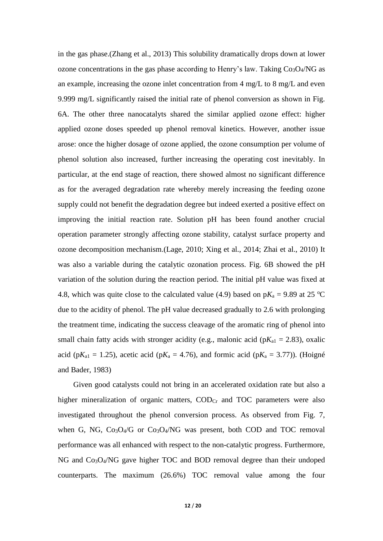in the gas phase.[\(Zhang et al., 2013\)](#page-18-0) This solubility dramatically drops down at lower ozone concentrations in the gas phase according to Henry's law. Taking  $Co<sub>3</sub>O<sub>4</sub>/NG$  as an example, increasing the ozone inlet concentration from 4 mg/L to 8 mg/L and even 9.999 mg/L significantly raised the initial rate of phenol conversion as shown in Fig. 6A. The other three nanocatalyts shared the similar applied ozone effect: higher applied ozone doses speeded up phenol removal kinetics. However, another issue arose: once the higher dosage of ozone applied, the ozone consumption per volume of phenol solution also increased, further increasing the operating cost inevitably. In particular, at the end stage of reaction, there showed almost no significant difference as for the averaged degradation rate whereby merely increasing the feeding ozone supply could not benefit the degradation degree but indeed exerted a positive effect on improving the initial reaction rate. Solution pH has been found another crucial operation parameter strongly affecting ozone stability, catalyst surface property and ozone decomposition mechanism.[\(Lage, 2010;](#page-17-10) [Xing et al., 2014;](#page-17-11) [Zhai et al., 2010\)](#page-17-12) It was also a variable during the catalytic ozonation process. Fig. 6B showed the pH variation of the solution during the reaction period. The initial pH value was fixed at 4.8, which was quite close to the calculated value (4.9) based on  $pK_a = 9.89$  at 25 °C due to the acidity of phenol. The pH value decreased gradually to 2.6 with prolonging the treatment time, indicating the success cleavage of the aromatic ring of phenol into small chain fatty acids with stronger acidity (e.g., malonic acid ( $pK_{a1} = 2.83$ ), oxalic acid (p $K_{a1} = 1.25$ ), acetic acid (p $K_a = 4.76$ ), and formic acid (p $K_a = 3.77$ )). (Hoigné [and Bader, 1983\)](#page-16-13)

Given good catalysts could not bring in an accelerated oxidation rate but also a higher mineralization of organic matters,  $\text{COD}_{\text{Cr}}$  and  $\text{TOC}$  parameters were also investigated throughout the phenol conversion process. As observed from Fig. 7, when G, NG,  $Co<sub>3</sub>O<sub>4</sub>/G$  or  $Co<sub>3</sub>O<sub>4</sub>/NG$  was present, both COD and TOC removal performance was all enhanced with respect to the non-catalytic progress. Furthermore, NG and Co3O4/NG gave higher TOC and BOD removal degree than their undoped counterparts. The maximum (26.6%) TOC removal value among the four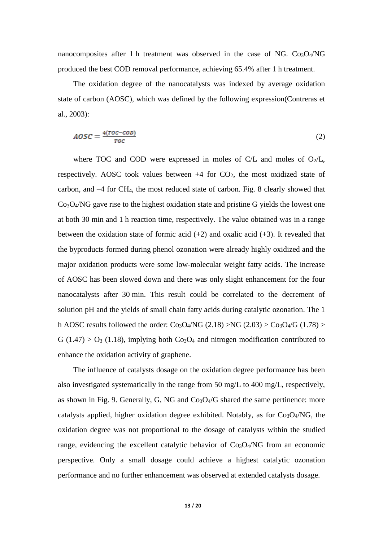nanocomposites after 1 h treatment was observed in the case of NG.  $Co<sub>3</sub>O<sub>4</sub>/NG$ produced the best COD removal performance, achieving 65.4% after 1 h treatment.

The oxidation degree of the nanocatalysts was indexed by average oxidation state of carbon (AOSC), which was defined by the following expression[\(Contreras et](#page-16-14)  [al., 2003\)](#page-16-14):

$$
AOSC = \frac{4(TOC - COD)}{TOC}
$$
 (2)

where TOC and COD were expressed in moles of C/L and moles of  $O_2/L$ , respectively. AOSC took values between  $+4$  for CO<sub>2</sub>, the most oxidized state of carbon, and –4 for CH4, the most reduced state of carbon. Fig. 8 clearly showed that Co3O4/NG gave rise to the highest oxidation state and pristine G yields the lowest one at both 30 min and 1 h reaction time, respectively. The value obtained was in a range between the oxidation state of formic acid  $(+2)$  and oxalic acid  $(+3)$ . It revealed that the byproducts formed during phenol ozonation were already highly oxidized and the major oxidation products were some low-molecular weight fatty acids. The increase of AOSC has been slowed down and there was only slight enhancement for the four nanocatalysts after 30 min. This result could be correlated to the decrement of solution pH and the yields of small chain fatty acids during catalytic ozonation. The 1 h AOSC results followed the order:  $Co<sub>3</sub>O<sub>4</sub>/NG$  (2.18) >NG (2.03) >  $Co<sub>3</sub>O<sub>4</sub>/G$  (1.78) >  $G (1.47) > O<sub>3</sub> (1.18)$ , implying both Co<sub>3</sub>O<sub>4</sub> and nitrogen modification contributed to enhance the oxidation activity of graphene.

The influence of catalysts dosage on the oxidation degree performance has been also investigated systematically in the range from 50 mg/L to 400 mg/L, respectively, as shown in Fig. 9. Generally, G, NG and  $Co<sub>3</sub>O<sub>4</sub>/G$  shared the same pertinence: more catalysts applied, higher oxidation degree exhibited. Notably, as for  $Co<sub>3</sub>O<sub>4</sub>/NG$ , the oxidation degree was not proportional to the dosage of catalysts within the studied range, evidencing the excellent catalytic behavior of  $Co<sub>3</sub>O<sub>4</sub>/NG$  from an economic perspective. Only a small dosage could achieve a highest catalytic ozonation performance and no further enhancement was observed at extended catalysts dosage.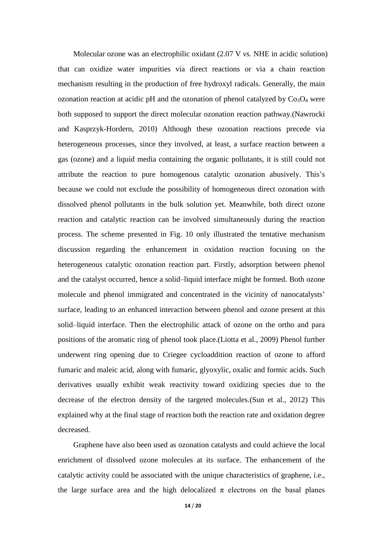Molecular ozone was an electrophilic oxidant (2.07 V *vs.* NHE in acidic solution) that can oxidize water impurities via direct reactions or via a chain reaction mechanism resulting in the production of free hydroxyl radicals. Generally, the main ozonation reaction at acidic pH and the ozonation of phenol catalyzed by  $Co<sub>3</sub>O<sub>4</sub>$  were both supposed to support the direct molecular ozonation reaction pathway.[\(Nawrocki](#page-17-13)  [and Kasprzyk-Hordern, 2010\)](#page-17-13) Although these ozonation reactions precede via heterogeneous processes, since they involved, at least, a surface reaction between a gas (ozone) and a liquid media containing the organic pollutants, it is still could not attribute the reaction to pure homogenous catalytic ozonation abusively. This's because we could not exclude the possibility of homogeneous direct ozonation with dissolved phenol pollutants in the bulk solution yet. Meanwhile, both direct ozone reaction and catalytic reaction can be involved simultaneously during the reaction process. The scheme presented in Fig. 10 only illustrated the tentative mechanism discussion regarding the enhancement in oxidation reaction focusing on the heterogeneous catalytic ozonation reaction part. Firstly, adsorption between phenol and the catalyst occurred, hence a solid–liquid interface might be formed. Both ozone molecule and phenol immigrated and concentrated in the vicinity of nanocatalysts' surface, leading to an enhanced interaction between phenol and ozone present at this solid–liquid interface. Then the electrophilic attack of ozone on the ortho and para positions of the aromatic ring of phenol took place.[\(Liotta et al., 2009\)](#page-17-14) Phenol further underwent ring opening due to Criegee cycloaddition reaction of ozone to afford fumaric and maleic acid, along with fumaric, glyoxylic, oxalic and formic acids. Such derivatives usually exhibit weak reactivity toward oxidizing species due to the decrease of the electron density of the targeted molecules.[\(Sun et al., 2012\)](#page-17-15) This explained why at the final stage of reaction both the reaction rate and oxidation degree decreased.

Graphene have also been used as ozonation catalysts and could achieve the local enrichment of dissolved ozone molecules at its surface. The enhancement of the catalytic activity could be associated with the unique characteristics of graphene, i.e., the large surface area and the high delocalized  $\pi$  electrons on the basal planes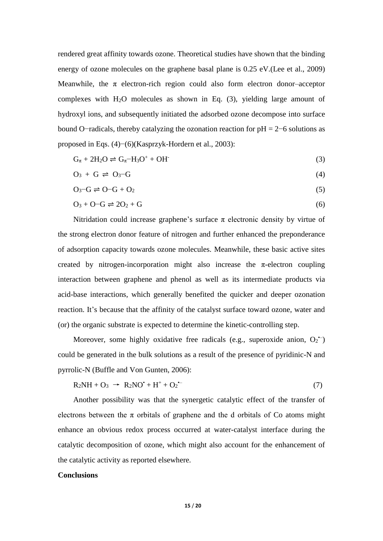rendered great affinity towards ozone. Theoretical studies have shown that the binding energy of ozone molecules on the graphene basal plane is 0.25 eV.[\(Lee et al., 2009\)](#page-17-16) Meanwhile, the  $\pi$  electron-rich region could also form electron donor-acceptor complexes with H2O molecules as shown in Eq. (3), yielding large amount of hydroxyl ions, and subsequently initiated the adsorbed ozone decompose into surface bound O−radicals, thereby catalyzing the ozonation reaction for pH = 2−6 solutions as proposed in Eqs. (4)−(6)[\(Kasprzyk-Hordern et al., 2003\)](#page-16-2):

$$
G_{\pi} + 2H_2O \rightleftharpoons G_{\pi} - H_3O^+ + OH^-
$$
\n(3)

$$
O_3 + G \rightleftharpoons O_3-G \tag{4}
$$

$$
O_3-G \rightleftharpoons O-G + O_2 \tag{5}
$$

$$
O_3 + O - G \rightleftharpoons 2O_2 + G \tag{6}
$$

Nitridation could increase graphene's surface  $\pi$  electronic density by virtue of the strong electron donor feature of nitrogen and further enhanced the preponderance of adsorption capacity towards ozone molecules. Meanwhile, these basic active sites created by nitrogen-incorporation might also increase the  $\pi$ -electron coupling interaction between graphene and phenol as well as its intermediate products via acid-base interactions, which generally benefited the quicker and deeper ozonation reaction. It's because that the affinity of the catalyst surface toward ozone, water and (or) the organic substrate is expected to determine the kinetic-controlling step.

Moreover, some highly oxidative free radicals (e.g., superoxide anion,  $O_2$ <sup>--</sup>) could be generated in the bulk solutions as a result of the presence of pyridinic-N and pyrrolic-N [\(Buffle and Von Gunten, 2006\)](#page-16-15):

$$
R_2NH + O_3 \rightarrow R_2NO^{\bullet} + H^+ + O_2^{\bullet -}
$$
\n<sup>(7)</sup>

Another possibility was that the synergetic catalytic effect of the transfer of electrons between the  $\pi$  orbitals of graphene and the d orbitals of Co atoms might enhance an obvious redox process occurred at water-catalyst interface during the catalytic decomposition of ozone, which might also account for the enhancement of the catalytic activity as reported elsewhere.

## **Conclusions**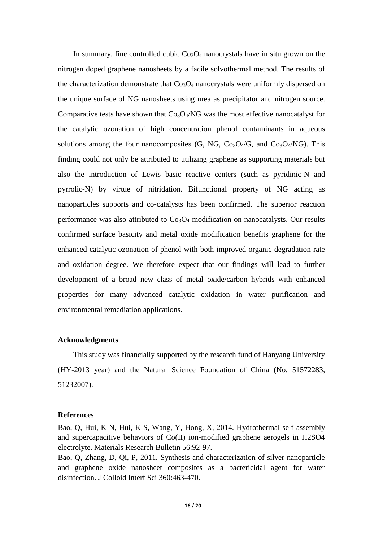In summary, fine controlled cubic  $Co<sub>3</sub>O<sub>4</sub>$  nanocrystals have in situ grown on the nitrogen doped graphene nanosheets by a facile solvothermal method. The results of the characterization demonstrate that  $Co<sub>3</sub>O<sub>4</sub>$  nanocrystals were uniformly dispersed on the unique surface of NG nanosheets using urea as precipitator and nitrogen source. Comparative tests have shown that  $Co<sub>3</sub>O<sub>4</sub>/NG$  was the most effective nanocatalyst for the catalytic ozonation of high concentration phenol contaminants in aqueous solutions among the four nanocomposites  $(G, NG, Co<sub>3</sub>O<sub>4</sub>/G, and Co<sub>3</sub>O<sub>4</sub>/NG)$ . This finding could not only be attributed to utilizing graphene as supporting materials but also the introduction of Lewis basic reactive centers (such as pyridinic-N and pyrrolic-N) by virtue of nitridation. Bifunctional property of NG acting as nanoparticles supports and co-catalysts has been confirmed. The superior reaction performance was also attributed to  $Co<sub>3</sub>O<sub>4</sub>$  modification on nanocatalysts. Our results confirmed surface basicity and metal oxide modification benefits graphene for the enhanced catalytic ozonation of phenol with both improved organic degradation rate and oxidation degree. We therefore expect that our findings will lead to further development of a broad new class of metal oxide/carbon hybrids with enhanced properties for many advanced catalytic oxidation in water purification and environmental remediation applications.

### **Acknowledgments**

This study was financially supported by the research fund of Hanyang University (HY-2013 year) and the Natural Science Foundation of China (No. 51572283, 51232007).

#### **References**

<span id="page-15-0"></span>Bao, Q, Hui, K N, Hui, K S, Wang, Y, Hong, X, 2014. Hydrothermal self-assembly and supercapacitive behaviors of Co(II) ion-modified graphene aerogels in H2SO4 electrolyte. Materials Research Bulletin 56:92-97.

<span id="page-15-1"></span>Bao, Q, Zhang, D, Qi, P, 2011. Synthesis and characterization of silver nanoparticle and graphene oxide nanosheet composites as a bactericidal agent for water disinfection. J Colloid Interf Sci 360:463-470.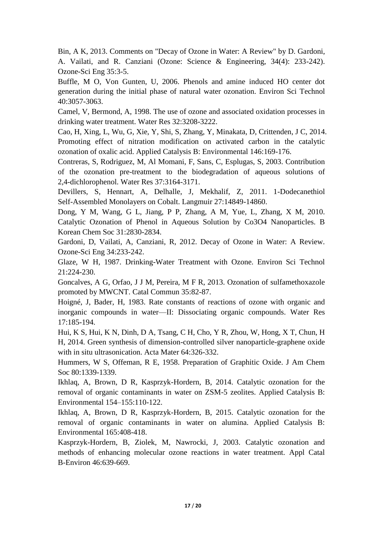<span id="page-16-11"></span>Bin, A K, 2013. Comments on "Decay of Ozone in Water: A Review" by D. Gardoni, A. Vailati, and R. Canziani (Ozone: Science & Engineering, 34(4): 233-242). Ozone-Sci Eng 35:3-5.

<span id="page-16-15"></span>Buffle, M O, Von Gunten, U, 2006. Phenols and amine induced HO center dot generation during the initial phase of natural water ozonation. Environ Sci Technol 40:3057-3063.

<span id="page-16-0"></span>Camel, V, Bermond, A, 1998. The use of ozone and associated oxidation processes in drinking water treatment. Water Res 32:3208-3222.

<span id="page-16-8"></span>Cao, H, Xing, L, Wu, G, Xie, Y, Shi, S, Zhang, Y, Minakata, D, Crittenden, J C, 2014. Promoting effect of nitration modification on activated carbon in the catalytic ozonation of oxalic acid. Applied Catalysis B: Environmental 146:169-176.

<span id="page-16-14"></span>Contreras, S, Rodriguez, M, Al Momani, F, Sans, C, Esplugas, S, 2003. Contribution of the ozonation pre-treatment to the biodegradation of aqueous solutions of 2,4-dichlorophenol. Water Res 37:3164-3171.

<span id="page-16-6"></span>Devillers, S, Hennart, A, Delhalle, J, Mekhalif, Z, 2011. 1-Dodecanethiol Self-Assembled Monolayers on Cobalt. Langmuir 27:14849-14860.

<span id="page-16-9"></span>Dong, Y M, Wang, G L, Jiang, P P, Zhang, A M, Yue, L, Zhang, X M, 2010. Catalytic Ozonation of Phenol in Aqueous Solution by Co3O4 Nanoparticles. B Korean Chem Soc 31:2830-2834.

<span id="page-16-12"></span>Gardoni, D, Vailati, A, Canziani, R, 2012. Decay of Ozone in Water: A Review. Ozone-Sci Eng 34:233-242.

<span id="page-16-1"></span>Glaze, W H, 1987. Drinking-Water Treatment with Ozone. Environ Sci Technol 21:224-230.

<span id="page-16-7"></span>Goncalves, A G, Orfao, J J M, Pereira, M F R, 2013. Ozonation of sulfamethoxazole promoted by MWCNT. Catal Commun 35:82-87.

<span id="page-16-13"></span>Hoigné, J, Bader, H, 1983. Rate constants of reactions of ozone with organic and inorganic compounds in water—II: Dissociating organic compounds. Water Res 17:185-194.

<span id="page-16-5"></span>Hui, K S, Hui, K N, Dinh, D A, Tsang, C H, Cho, Y R, Zhou, W, Hong, X T, Chun, H H, 2014. Green synthesis of dimension-controlled silver nanoparticle-graphene oxide with in situ ultrasonication. Acta Mater 64:326-332.

<span id="page-16-10"></span>Hummers, W S, Offeman, R E, 1958. Preparation of Graphitic Oxide. J Am Chem Soc 80:1339-1339.

<span id="page-16-3"></span>Ikhlaq, A, Brown, D R, Kasprzyk-Hordern, B, 2014. Catalytic ozonation for the removal of organic contaminants in water on ZSM-5 zeolites. Applied Catalysis B: Environmental 154–155:110-122.

<span id="page-16-4"></span>Ikhlaq, A, Brown, D R, Kasprzyk-Hordern, B, 2015. Catalytic ozonation for the removal of organic contaminants in water on alumina. Applied Catalysis B: Environmental 165:408-418.

<span id="page-16-2"></span>Kasprzyk-Hordern, B, Ziolek, M, Nawrocki, J, 2003. Catalytic ozonation and methods of enhancing molecular ozone reactions in water treatment. Appl Catal B-Environ 46:639-669.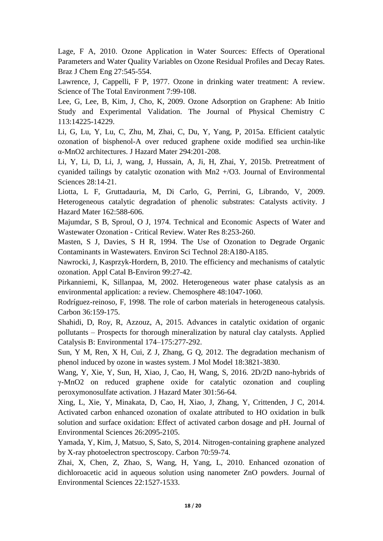<span id="page-17-10"></span>Lage, F A, 2010. Ozone Application in Water Sources: Effects of Operational Parameters and Water Quality Variables on Ozone Residual Profiles and Decay Rates. Braz J Chem Eng 27:545-554.

<span id="page-17-0"></span>Lawrence, J, Cappelli, F P, 1977. Ozone in drinking water treatment: A review. Science of The Total Environment 7:99-108.

<span id="page-17-16"></span>Lee, G, Lee, B, Kim, J, Cho, K, 2009. Ozone Adsorption on Graphene: Ab Initio Study and Experimental Validation. The Journal of Physical Chemistry C 113:14225-14229.

<span id="page-17-7"></span>Li, G, Lu, Y, Lu, C, Zhu, M, Zhai, C, Du, Y, Yang, P, 2015a. Efficient catalytic ozonation of bisphenol-A over reduced graphene oxide modified sea urchin-like α-MnO2 architectures. J Hazard Mater 294:201-208.

<span id="page-17-3"></span>Li, Y, Li, D, Li, J, wang, J, Hussain, A, Ji, H, Zhai, Y, 2015b. Pretreatment of cyanided tailings by catalytic ozonation with Mn2 +/O3. Journal of Environmental Sciences 28:14-21.

<span id="page-17-14"></span>Liotta, L F, Gruttadauria, M, Di Carlo, G, Perrini, G, Librando, V, 2009. Heterogeneous catalytic degradation of phenolic substrates: Catalysts activity. J Hazard Mater 162:588-606.

<span id="page-17-2"></span>Majumdar, S B, Sproul, O J, 1974. Technical and Economic Aspects of Water and Wastewater Ozonation - Critical Review. Water Res 8:253-260.

<span id="page-17-1"></span>Masten, S J, Davies, S H R, 1994. The Use of Ozonation to Degrade Organic Contaminants in Wastewaters. Environ Sci Technol 28:A180-A185.

<span id="page-17-13"></span>Nawrocki, J, Kasprzyk-Hordern, B, 2010. The efficiency and mechanisms of catalytic ozonation. Appl Catal B-Environ 99:27-42.

<span id="page-17-6"></span>Pirkanniemi, K, Sillanpaa, M, 2002. Heterogeneous water phase catalysis as an environmental application: a review. Chemosphere 48:1047-1060.

<span id="page-17-4"></span>Rodríguez-reinoso, F, 1998. The role of carbon materials in heterogeneous catalysis. Carbon 36:159-175.

<span id="page-17-5"></span>Shahidi, D, Roy, R, Azzouz, A, 2015. Advances in catalytic oxidation of organic pollutants – Prospects for thorough mineralization by natural clay catalysts. Applied Catalysis B: Environmental 174–175:277-292.

<span id="page-17-15"></span>Sun, Y M, Ren, X H, Cui, Z J, Zhang, G Q, 2012. The degradation mechanism of phenol induced by ozone in wastes system. J Mol Model 18:3821-3830.

<span id="page-17-8"></span>Wang, Y, Xie, Y, Sun, H, Xiao, J, Cao, H, Wang, S, 2016. 2D/2D nano-hybrids of γ-MnO2 on reduced graphene oxide for catalytic ozonation and coupling peroxymonosulfate activation. J Hazard Mater 301:56-64.

<span id="page-17-11"></span>Xing, L, Xie, Y, Minakata, D, Cao, H, Xiao, J, Zhang, Y, Crittenden, J C, 2014. Activated carbon enhanced ozonation of oxalate attributed to HO oxidation in bulk solution and surface oxidation: Effect of activated carbon dosage and pH. Journal of Environmental Sciences 26:2095-2105.

<span id="page-17-9"></span>Yamada, Y, Kim, J, Matsuo, S, Sato, S, 2014. Nitrogen-containing graphene analyzed by X-ray photoelectron spectroscopy. Carbon 70:59-74.

<span id="page-17-12"></span>Zhai, X, Chen, Z, Zhao, S, Wang, H, Yang, L, 2010. Enhanced ozonation of dichloroacetic acid in aqueous solution using nanometer ZnO powders. Journal of Environmental Sciences 22:1527-1533.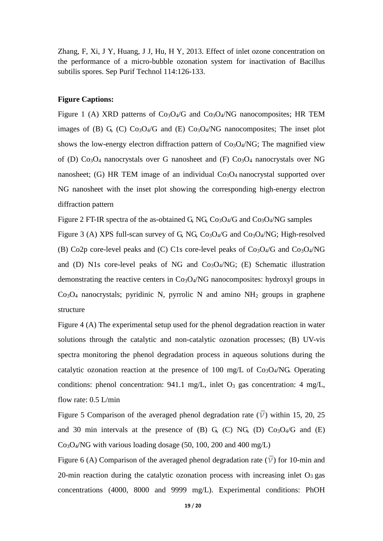<span id="page-18-0"></span>Zhang, F, Xi, J Y, Huang, J J, Hu, H Y, 2013. Effect of inlet ozone concentration on the performance of a micro-bubble ozonation system for inactivation of Bacillus subtilis spores. Sep Purif Technol 114:126-133.

#### **Figure Captions:**

Figure 1 (A) XRD patterns of  $Co<sub>3</sub>O<sub>4</sub>/G$  and  $Co<sub>3</sub>O<sub>4</sub>/NG$  nanocomposites; HR TEM images of (B) G, (C)  $Co<sub>3</sub>O<sub>4</sub>/G$  and (E)  $Co<sub>3</sub>O<sub>4</sub>/NG$  nanocomposites; The inset plot shows the low-energy electron diffraction pattern of  $Co<sub>3</sub>O<sub>4</sub>/NG$ ; The magnified view of (D)  $Co<sub>3</sub>O<sub>4</sub>$  nanocrystals over G nanosheet and (F)  $Co<sub>3</sub>O<sub>4</sub>$  nanocrystals over NG nanosheet; (G) HR TEM image of an individual  $Co<sub>3</sub>O<sub>4</sub>$  nanocrystal supported over NG nanosheet with the inset plot showing the corresponding high-energy electron diffraction pattern

Figure 2 FT-IR spectra of the as-obtained G, NG,  $Co<sub>3</sub>O<sub>4</sub>/G$  and  $Co<sub>3</sub>O<sub>4</sub>/NG$  samples Figure 3 (A) XPS full-scan survey of G, NG,  $Co<sub>3</sub>O<sub>4</sub>/G$  and  $Co<sub>3</sub>O<sub>4</sub>/NG$ ; High-resolved (B) Co2p core-level peaks and (C) C1s core-level peaks of  $Co<sub>3</sub>O<sub>4</sub>/G$  and  $Co<sub>3</sub>O<sub>4</sub>/NG$ and (D) N1s core-level peaks of NG and  $Co<sub>3</sub>O<sub>4</sub>/NG$ ; (E) Schematic illustration demonstrating the reactive centers in  $Co<sub>3</sub>O<sub>4</sub>/NG$  nanocomposites: hydroxyl groups in  $Co<sub>3</sub>O<sub>4</sub>$  nanocrystals; pyridinic N, pyrrolic N and amino  $NH<sub>2</sub>$  groups in graphene structure

Figure 4 (A) The experimental setup used for the phenol degradation reaction in water solutions through the catalytic and non-catalytic ozonation processes; (B) UV-vis spectra monitoring the phenol degradation process in aqueous solutions during the catalytic ozonation reaction at the presence of 100 mg/L of  $Co<sub>3</sub>O<sub>4</sub>/NG$ . Operating conditions: phenol concentration: 941.1 mg/L, inlet  $O_3$  gas concentration: 4 mg/L, flow rate: 0.5 L/min

Figure 5 Comparison of the averaged phenol degradation rate  $(\overline{V})$  within 15, 20, 25 and 30 min intervals at the presence of (B) G, (C) NG, (D)  $Co<sub>3</sub>O<sub>4</sub>/G$  and (E) Co3O4/NG with various loading dosage (50, 100, 200 and 400 mg/L)

Figure 6 (A) Comparison of the averaged phenol degradation rate  $(\overline{V})$  for 10-min and 20-min reaction during the catalytic ozonation process with increasing inlet  $O_3$  gas concentrations (4000, 8000 and 9999 mg/L). Experimental conditions: PhOH